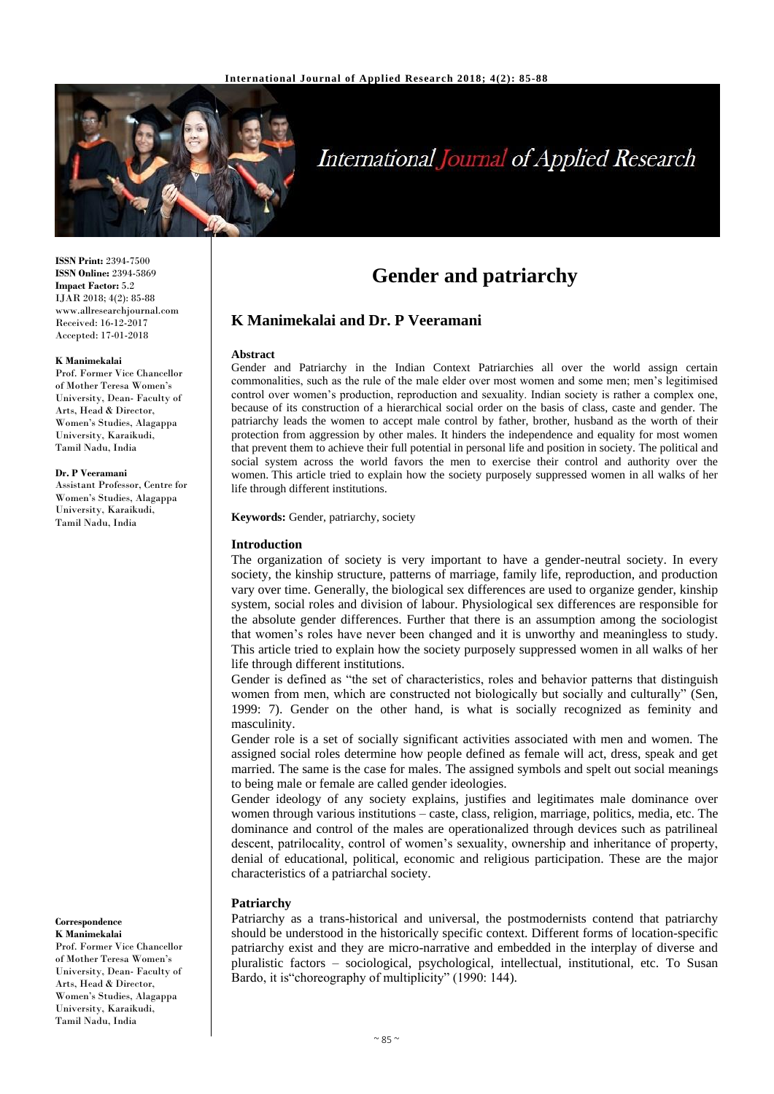

# **International Journal of Applied Research**

**ISSN Print:** 2394-7500 **ISSN Online:** 2394-5869 **Impact Factor:** 5.2 IJAR 2018; 4(2): 85-88 www.allresearchjournal.com Received: 16-12-2017 Accepted: 17-01-2018

#### **K Manimekalai**

Prof. Former Vice Chancellor of Mother Teresa Women's University, Dean- Faculty of Arts, Head & Director, Women's Studies, Alagappa University, Karaikudi, Tamil Nadu, India

#### **Dr. P Veeramani**

Assistant Professor, Centre for Women's Studies, Alagappa University, Karaikudi, Tamil Nadu, India

#### **Correspondence K Manimekalai**

Prof. Former Vice Chancellor of Mother Teresa Women's University, Dean- Faculty of Arts, Head & Director, Women's Studies, Alagappa University, Karaikudi, Tamil Nadu, India

# **Gender and patriarchy**

#### **K Manimekalai and Dr. P Veeramani**

#### **Abstract**

Gender and Patriarchy in the Indian Context Patriarchies all over the world assign certain commonalities, such as the rule of the male elder over most women and some men; men's legitimised control over women's production, reproduction and sexuality. Indian society is rather a complex one, because of its construction of a hierarchical social order on the basis of class, caste and gender. The patriarchy leads the women to accept male control by father, brother, husband as the worth of their protection from aggression by other males. It hinders the independence and equality for most women that prevent them to achieve their full potential in personal life and position in society. The political and social system across the world favors the men to exercise their control and authority over the women. This article tried to explain how the society purposely suppressed women in all walks of her life through different institutions.

**Keywords:** Gender, patriarchy, society

#### **Introduction**

The organization of society is very important to have a gender-neutral society. In every society, the kinship structure, patterns of marriage, family life, reproduction, and production vary over time. Generally, the biological sex differences are used to organize gender, kinship system, social roles and division of labour. Physiological sex differences are responsible for the absolute gender differences. Further that there is an assumption among the sociologist that women's roles have never been changed and it is unworthy and meaningless to study. This article tried to explain how the society purposely suppressed women in all walks of her life through different institutions.

Gender is defined as "the set of characteristics, roles and behavior patterns that distinguish women from men, which are constructed not biologically but socially and culturally" (Sen, 1999: 7). Gender on the other hand, is what is socially recognized as feminity and masculinity.

Gender role is a set of socially significant activities associated with men and women. The assigned social roles determine how people defined as female will act, dress, speak and get married. The same is the case for males. The assigned symbols and spelt out social meanings to being male or female are called gender ideologies.

Gender ideology of any society explains, justifies and legitimates male dominance over women through various institutions – caste, class, religion, marriage, politics, media, etc. The dominance and control of the males are operationalized through devices such as patrilineal descent, patrilocality, control of women's sexuality, ownership and inheritance of property, denial of educational, political, economic and religious participation. These are the major characteristics of a patriarchal society.

#### **Patriarchy**

Patriarchy as a trans-historical and universal, the postmodernists contend that patriarchy should be understood in the historically specific context. Different forms of location-specific patriarchy exist and they are micro-narrative and embedded in the interplay of diverse and pluralistic factors – sociological, psychological, intellectual, institutional, etc. To Susan Bardo, it is "choreography of multiplicity" (1990: 144).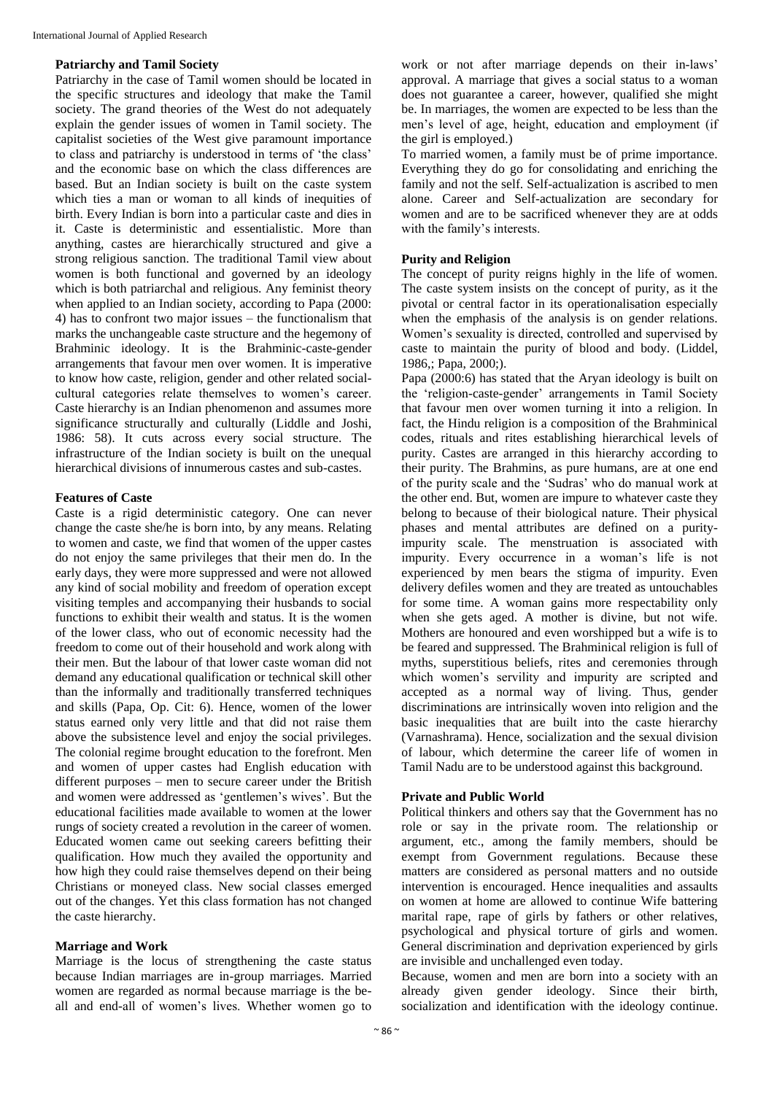#### **Patriarchy and Tamil Society**

Patriarchy in the case of Tamil women should be located in the specific structures and ideology that make the Tamil society. The grand theories of the West do not adequately explain the gender issues of women in Tamil society. The capitalist societies of the West give paramount importance to class and patriarchy is understood in terms of 'the class' and the economic base on which the class differences are based. But an Indian society is built on the caste system which ties a man or woman to all kinds of inequities of birth. Every Indian is born into a particular caste and dies in it. Caste is deterministic and essentialistic. More than anything, castes are hierarchically structured and give a strong religious sanction. The traditional Tamil view about women is both functional and governed by an ideology which is both patriarchal and religious. Any feminist theory when applied to an Indian society, according to Papa (2000: 4) has to confront two major issues – the functionalism that marks the unchangeable caste structure and the hegemony of Brahminic ideology. It is the Brahminic-caste-gender arrangements that favour men over women. It is imperative to know how caste, religion, gender and other related socialcultural categories relate themselves to women's career. Caste hierarchy is an Indian phenomenon and assumes more significance structurally and culturally (Liddle and Joshi, 1986: 58). It cuts across every social structure. The infrastructure of the Indian society is built on the unequal hierarchical divisions of innumerous castes and sub-castes.

#### **Features of Caste**

Caste is a rigid deterministic category. One can never change the caste she/he is born into, by any means. Relating to women and caste, we find that women of the upper castes do not enjoy the same privileges that their men do. In the early days, they were more suppressed and were not allowed any kind of social mobility and freedom of operation except visiting temples and accompanying their husbands to social functions to exhibit their wealth and status. It is the women of the lower class, who out of economic necessity had the freedom to come out of their household and work along with their men. But the labour of that lower caste woman did not demand any educational qualification or technical skill other than the informally and traditionally transferred techniques and skills (Papa, Op. Cit: 6). Hence, women of the lower status earned only very little and that did not raise them above the subsistence level and enjoy the social privileges. The colonial regime brought education to the forefront. Men and women of upper castes had English education with different purposes – men to secure career under the British and women were addressed as 'gentlemen's wives'. But the educational facilities made available to women at the lower rungs of society created a revolution in the career of women. Educated women came out seeking careers befitting their qualification. How much they availed the opportunity and how high they could raise themselves depend on their being Christians or moneyed class. New social classes emerged out of the changes. Yet this class formation has not changed the caste hierarchy.

#### **Marriage and Work**

Marriage is the locus of strengthening the caste status because Indian marriages are in-group marriages. Married women are regarded as normal because marriage is the beall and end-all of women's lives. Whether women go to

work or not after marriage depends on their in-laws' approval. A marriage that gives a social status to a woman does not guarantee a career, however, qualified she might be. In marriages, the women are expected to be less than the men's level of age, height, education and employment (if the girl is employed.)

To married women, a family must be of prime importance. Everything they do go for consolidating and enriching the family and not the self. Self-actualization is ascribed to men alone. Career and Self-actualization are secondary for women and are to be sacrificed whenever they are at odds with the family's interests.

#### **Purity and Religion**

The concept of purity reigns highly in the life of women. The caste system insists on the concept of purity, as it the pivotal or central factor in its operationalisation especially when the emphasis of the analysis is on gender relations. Women's sexuality is directed, controlled and supervised by caste to maintain the purity of blood and body. (Liddel, 1986,; Papa, 2000;).

Papa (2000:6) has stated that the Aryan ideology is built on the 'religion-caste-gender' arrangements in Tamil Society that favour men over women turning it into a religion. In fact, the Hindu religion is a composition of the Brahminical codes, rituals and rites establishing hierarchical levels of purity. Castes are arranged in this hierarchy according to their purity. The Brahmins, as pure humans, are at one end of the purity scale and the 'Sudras' who do manual work at the other end. But, women are impure to whatever caste they belong to because of their biological nature. Their physical phases and mental attributes are defined on a purityimpurity scale. The menstruation is associated with impurity. Every occurrence in a woman's life is not experienced by men bears the stigma of impurity. Even delivery defiles women and they are treated as untouchables for some time. A woman gains more respectability only when she gets aged. A mother is divine, but not wife. Mothers are honoured and even worshipped but a wife is to be feared and suppressed. The Brahminical religion is full of myths, superstitious beliefs, rites and ceremonies through which women's servility and impurity are scripted and accepted as a normal way of living. Thus, gender discriminations are intrinsically woven into religion and the basic inequalities that are built into the caste hierarchy (Varnashrama). Hence, socialization and the sexual division of labour, which determine the career life of women in Tamil Nadu are to be understood against this background.

#### **Private and Public World**

Political thinkers and others say that the Government has no role or say in the private room. The relationship or argument, etc., among the family members, should be exempt from Government regulations. Because these matters are considered as personal matters and no outside intervention is encouraged. Hence inequalities and assaults on women at home are allowed to continue Wife battering marital rape, rape of girls by fathers or other relatives, psychological and physical torture of girls and women. General discrimination and deprivation experienced by girls are invisible and unchallenged even today.

Because, women and men are born into a society with an already given gender ideology. Since their birth, socialization and identification with the ideology continue.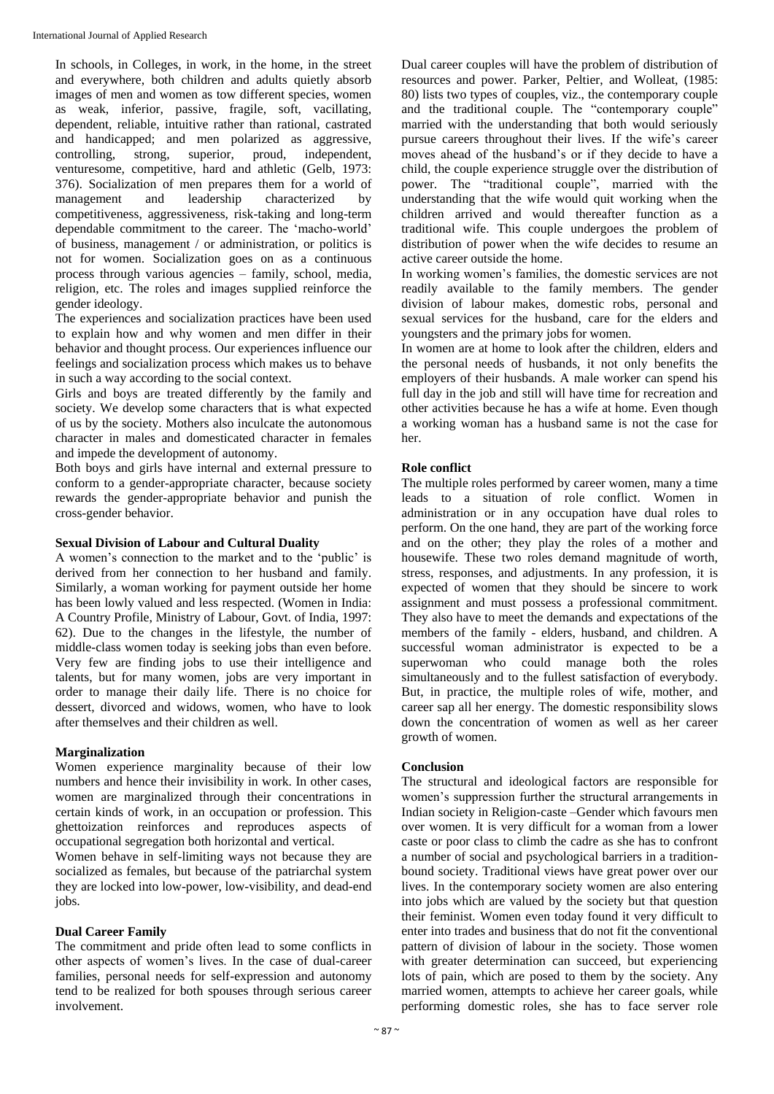In schools, in Colleges, in work, in the home, in the street and everywhere, both children and adults quietly absorb images of men and women as tow different species, women as weak, inferior, passive, fragile, soft, vacillating, dependent, reliable, intuitive rather than rational, castrated and handicapped; and men polarized as aggressive, controlling, strong, superior, proud, independent, venturesome, competitive, hard and athletic (Gelb, 1973: 376). Socialization of men prepares them for a world of management and leadership characterized by competitiveness, aggressiveness, risk-taking and long-term dependable commitment to the career. The 'macho-world' of business, management / or administration, or politics is not for women. Socialization goes on as a continuous process through various agencies – family, school, media, religion, etc. The roles and images supplied reinforce the gender ideology.

The experiences and socialization practices have been used to explain how and why women and men differ in their behavior and thought process. Our experiences influence our feelings and socialization process which makes us to behave in such a way according to the social context.

Girls and boys are treated differently by the family and society. We develop some characters that is what expected of us by the society. Mothers also inculcate the autonomous character in males and domesticated character in females and impede the development of autonomy.

Both boys and girls have internal and external pressure to conform to a gender-appropriate character, because society rewards the gender-appropriate behavior and punish the cross-gender behavior.

## **Sexual Division of Labour and Cultural Duality**

A women's connection to the market and to the 'public' is derived from her connection to her husband and family. Similarly, a woman working for payment outside her home has been lowly valued and less respected. (Women in India: A Country Profile, Ministry of Labour, Govt. of India, 1997: 62). Due to the changes in the lifestyle, the number of middle-class women today is seeking jobs than even before. Very few are finding jobs to use their intelligence and talents, but for many women, jobs are very important in order to manage their daily life. There is no choice for dessert, divorced and widows, women, who have to look after themselves and their children as well.

## **Marginalization**

Women experience marginality because of their low numbers and hence their invisibility in work. In other cases, women are marginalized through their concentrations in certain kinds of work, in an occupation or profession. This ghettoization reinforces and reproduces aspects of occupational segregation both horizontal and vertical.

Women behave in self-limiting ways not because they are socialized as females, but because of the patriarchal system they are locked into low-power, low-visibility, and dead-end jobs.

## **Dual Career Family**

The commitment and pride often lead to some conflicts in other aspects of women's lives. In the case of dual-career families, personal needs for self-expression and autonomy tend to be realized for both spouses through serious career involvement.

Dual career couples will have the problem of distribution of resources and power. Parker, Peltier, and Wolleat, (1985: 80) lists two types of couples, viz., the contemporary couple and the traditional couple. The "contemporary couple" married with the understanding that both would seriously pursue careers throughout their lives. If the wife's career moves ahead of the husband's or if they decide to have a child, the couple experience struggle over the distribution of power. The "traditional couple", married with the understanding that the wife would quit working when the children arrived and would thereafter function as a traditional wife. This couple undergoes the problem of distribution of power when the wife decides to resume an active career outside the home.

In working women's families, the domestic services are not readily available to the family members. The gender division of labour makes, domestic robs, personal and sexual services for the husband, care for the elders and youngsters and the primary jobs for women.

In women are at home to look after the children, elders and the personal needs of husbands, it not only benefits the employers of their husbands. A male worker can spend his full day in the job and still will have time for recreation and other activities because he has a wife at home. Even though a working woman has a husband same is not the case for her.

#### **Role conflict**

The multiple roles performed by career women, many a time leads to a situation of role conflict. Women in administration or in any occupation have dual roles to perform. On the one hand, they are part of the working force and on the other; they play the roles of a mother and housewife. These two roles demand magnitude of worth, stress, responses, and adjustments. In any profession, it is expected of women that they should be sincere to work assignment and must possess a professional commitment. They also have to meet the demands and expectations of the members of the family - elders, husband, and children. A successful woman administrator is expected to be a superwoman who could manage both the roles simultaneously and to the fullest satisfaction of everybody. But, in practice, the multiple roles of wife, mother, and career sap all her energy. The domestic responsibility slows down the concentration of women as well as her career growth of women.

#### **Conclusion**

The structural and ideological factors are responsible for women's suppression further the structural arrangements in Indian society in Religion-caste –Gender which favours men over women. It is very difficult for a woman from a lower caste or poor class to climb the cadre as she has to confront a number of social and psychological barriers in a traditionbound society. Traditional views have great power over our lives. In the contemporary society women are also entering into jobs which are valued by the society but that question their feminist. Women even today found it very difficult to enter into trades and business that do not fit the conventional pattern of division of labour in the society. Those women with greater determination can succeed, but experiencing lots of pain, which are posed to them by the society. Any married women, attempts to achieve her career goals, while performing domestic roles, she has to face server role